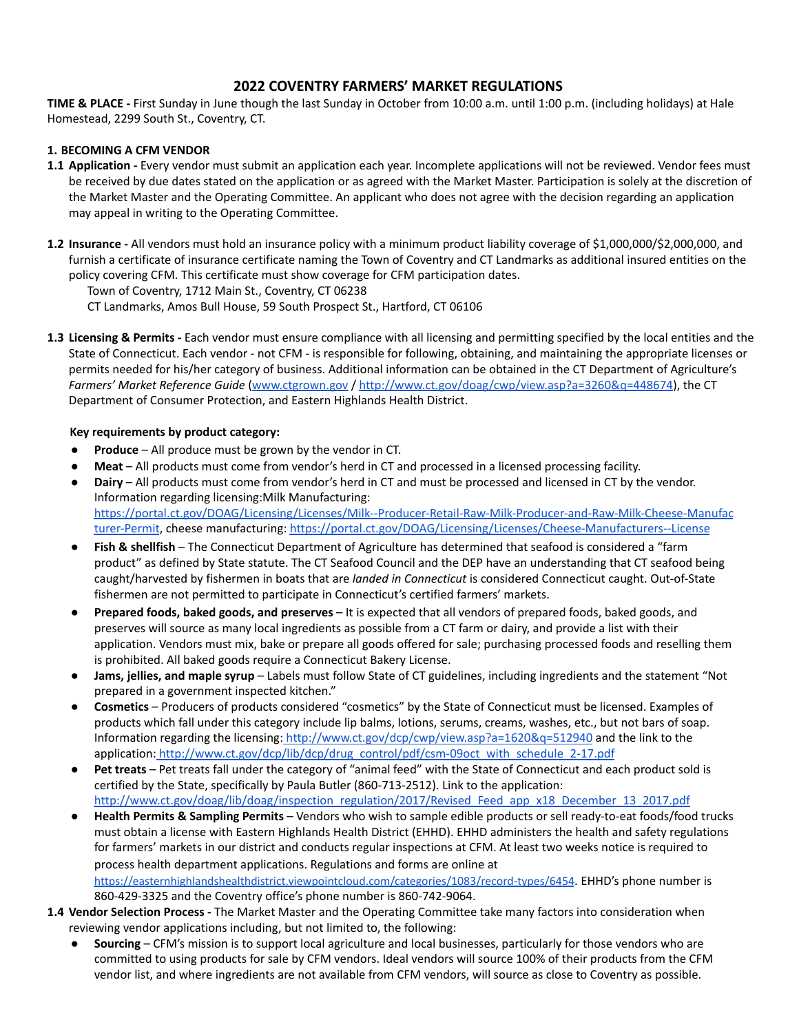# **2022 COVENTRY FARMERS' MARKET REGULATIONS**

**TIME & PLACE -** First Sunday in June though the last Sunday in October from 10:00 a.m. until 1:00 p.m. (including holidays) at Hale Homestead, 2299 South St., Coventry, CT.

## **1. BECOMING A CFM VENDOR**

- **1.1 Application -** Every vendor must submit an application each year. Incomplete applications will not be reviewed. Vendor fees must be received by due dates stated on the application or as agreed with the Market Master. Participation is solely at the discretion of the Market Master and the Operating Committee. An applicant who does not agree with the decision regarding an application may appeal in writing to the Operating Committee.
- **1.2 Insurance -** All vendors must hold an insurance policy with a minimum product liability coverage of \$1,000,000/\$2,000,000, and furnish a certificate of insurance certificate naming the Town of Coventry and CT Landmarks as additional insured entities on the policy covering CFM. This certificate must show coverage for CFM participation dates.

Town of Coventry, 1712 Main St., Coventry, CT 06238

CT Landmarks, Amos Bull House, 59 South Prospect St., Hartford, CT 06106

**1.3 Licensing & Permits -** Each vendor must ensure compliance with all licensing and permitting specified by the local entities and the State of Connecticut. Each vendor - not CFM - is responsible for following, obtaining, and maintaining the appropriate licenses or permits needed for his/her category of business. Additional information can be obtained in the CT Department of Agriculture's *Farmers' Market Reference Guide* [\(www.ctgrown.gov](http://www.ctgrown.gov/) / [http://www.ct.gov/doag/cwp/view.asp?a=3260&q=448674\)](http://www.ct.gov/doag/cwp/view.asp?a=3260&q=448674), the CT Department of Consumer Protection, and Eastern Highlands Health District.

### **Key requirements by product category:**

- **Produce** All produce must be grown by the vendor in CT.
- Meat All products must come from vendor's herd in CT and processed in a licensed processing facility.
- **Dairy** All products must come from vendor's herd in CT and must be processed and licensed in CT by the vendor. Information regarding licensing:Milk Manufacturing: [https://portal.ct.gov/DOAG/Licensing/Licenses/Milk--Producer-Retail-Raw-Milk-Producer-and-Raw-Milk-Cheese-Manufac](https://portal.ct.gov/DOAG/Licensing/Licenses/Milk--Producer-Retail-Raw-Milk-Producer-and-Raw-Milk-Cheese-Manufacturer-Permit) [turer-Permit](https://portal.ct.gov/DOAG/Licensing/Licenses/Milk--Producer-Retail-Raw-Milk-Producer-and-Raw-Milk-Cheese-Manufacturer-Permit), cheese manufacturing: <https://portal.ct.gov/DOAG/Licensing/Licenses/Cheese-Manufacturers--License>
- **Fish & shellfish** The Connecticut Department of Agriculture has determined that seafood is considered a "farm product" as defined by State statute. The CT Seafood Council and the DEP have an understanding that CT seafood being caught/harvested by fishermen in boats that are *landed in Connecticut* is considered Connecticut caught. Out-of-State fishermen are not permitted to participate in Connecticut's certified farmers' markets.
- **Prepared foods, baked goods, and preserves** It is expected that all vendors of prepared foods, baked goods, and preserves will source as many local ingredients as possible from a CT farm or dairy, and provide a list with their application. Vendors must mix, bake or prepare all goods offered for sale; purchasing processed foods and reselling them is prohibited. All baked goods require a Connecticut Bakery License.
- **Jams, jellies, and maple syrup** Labels must follow State of CT guidelines, including ingredients and the statement "Not prepared in a government inspected kitchen."
- **Cosmetics** Producers of products considered "cosmetics" by the State of Connecticut must be licensed. Examples of products which fall under this category include lip balms, lotions, serums, creams, washes, etc., but not bars of soap. Information regarding the licensing: <http://www.ct.gov/dcp/cwp/view.asp?a=1620&q=512940> and the link to the application: [http://www.ct.gov/dcp/lib/dcp/drug\\_control/pdf/csm-09oct\\_with\\_schedule\\_2-17.pdf](http://www.ct.gov/dcp/lib/dcp/drug_control/pdf/csm-09oct_with_schedule_2-17.pdf)
- **Pet treats** Pet treats fall under the category of "animal feed" with the State of Connecticut and each product sold is certified by the State, specifically by Paula Butler (860-713-2512). Link to the application: [http://www.ct.gov/doag/lib/doag/inspection\\_regulation/2017/Revised\\_Feed\\_app\\_x18\\_December\\_13\\_2017.pdf](http://www.ct.gov/doag/lib/doag/inspection_regulation/2017/Revised_Feed_app_x18_December_13_2017.pdf)
- **Health Permits & Sampling Permits** Vendors who wish to sample edible products or sell ready-to-eat foods/food trucks must obtain a license with Eastern Highlands Health District (EHHD). EHHD administers the health and safety regulations for farmers' markets in our district and conducts regular inspections at CFM. At least two weeks notice is required to process health department applications. Regulations and forms are online at <https://easternhighlandshealthdistrict.viewpointcloud.com/categories/1083/record-types/6454>. EHHD's phone number is 860-429-3325 and the Coventry office's phone number is 860-742-9064.
- **1.4 Vendor Selection Process -** The Market Master and the Operating Committee take many factors into consideration when reviewing vendor applications including, but not limited to, the following:
	- **Sourcing** CFM's mission is to support local agriculture and local businesses, particularly for those vendors who are committed to using products for sale by CFM vendors. Ideal vendors will source 100% of their products from the CFM vendor list, and where ingredients are not available from CFM vendors, will source as close to Coventry as possible.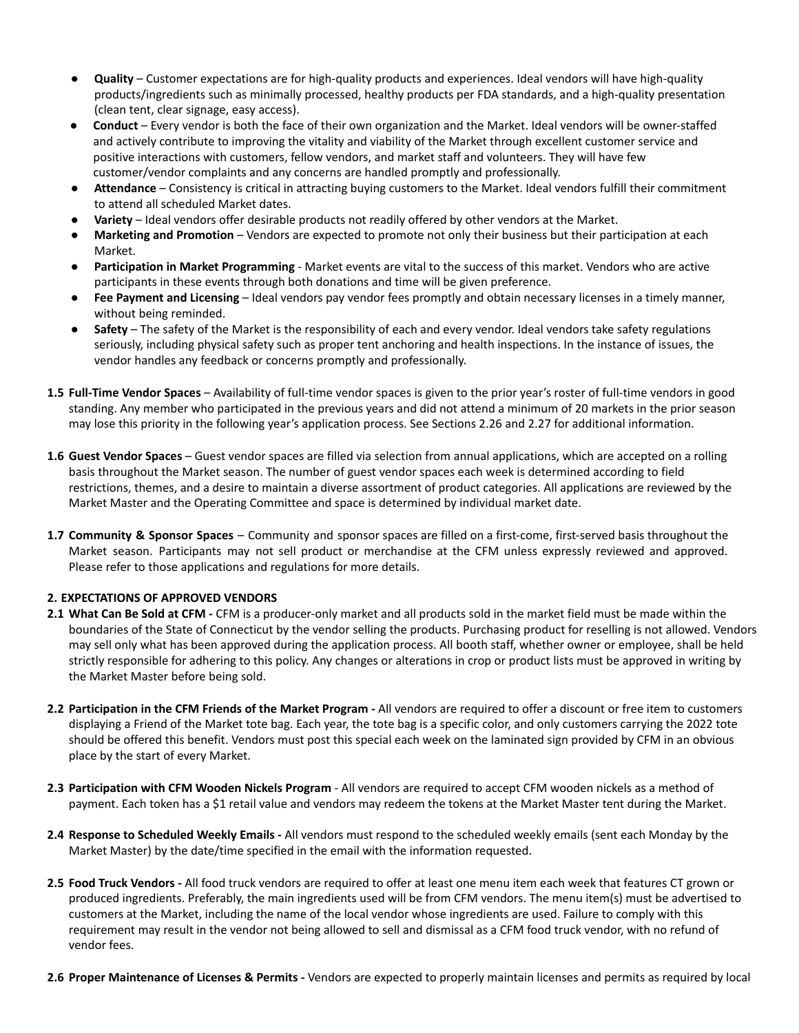- **Quality** Customer expectations are for high-quality products and experiences. Ideal vendors will have high-quality products/ingredients such as minimally processed, healthy products per FDA standards, and a high-quality presentation (clean tent, clear signage, easy access).
- **Conduct** Every vendor is both the face of their own organization and the Market. Ideal vendors will be owner-staffed and actively contribute to improving the vitality and viability of the Market through excellent customer service and positive interactions with customers, fellow vendors, and market staff and volunteers. They will have few customer/vendor complaints and any concerns are handled promptly and professionally.
- Attendance Consistency is critical in attracting buying customers to the Market. Ideal vendors fulfill their commitment to attend all scheduled Market dates.
- **Variety** Ideal vendors offer desirable products not readily offered by other vendors at the Market.
- **Marketing and Promotion** Vendors are expected to promote not only their business but their participation at each Market.
- **Participation in Market Programming** Market events are vital to the success of this market. Vendors who are active participants in these events through both donations and time will be given preference.
- **Fee Payment and Licensing** Ideal vendors pay vendor fees promptly and obtain necessary licenses in a timely manner, without being reminded.
- Safety The safety of the Market is the responsibility of each and every vendor. Ideal vendors take safety regulations seriously, including physical safety such as proper tent anchoring and health inspections. In the instance of issues, the vendor handles any feedback or concerns promptly and professionally.
- **1.5 Full-Time Vendor Spaces** Availability of full-time vendor spaces is given to the prior year's roster of full-time vendors in good standing. Any member who participated in the previous years and did not attend a minimum of 20 markets in the prior season may lose this priority in the following year's application process. See Sections 2.26 and 2.27 for additional information.
- **1.6 Guest Vendor Spaces** Guest vendor spaces are filled via selection from annual applications, which are accepted on a rolling basis throughout the Market season. The number of guest vendor spaces each week is determined according to field restrictions, themes, and a desire to maintain a diverse assortment of product categories. All applications are reviewed by the Market Master and the Operating Committee and space is determined by individual market date.
- **1.7 Community & Sponsor Spaces** Community and sponsor spaces are filled on a first-come, first-served basis throughout the Market season. Participants may not sell product or merchandise at the CFM unless expressly reviewed and approved. Please refer to those applications and regulations for more details.

### **2. EXPECTATIONS OF APPROVED VENDORS**

- **2.1 What Can Be Sold at CFM -** CFM is a producer-only market and all products sold in the market field must be made within the boundaries of the State of Connecticut by the vendor selling the products. Purchasing product for reselling is not allowed. Vendors may sell only what has been approved during the application process. All booth staff, whether owner or employee, shall be held strictly responsible for adhering to this policy. Any changes or alterations in crop or product lists must be approved in writing by the Market Master before being sold.
- **2.2 Participation in the CFM Friends of the Market Program -** All vendors are required to offer a discount or free item to customers displaying a Friend of the Market tote bag. Each year, the tote bag is a specific color, and only customers carrying the 2022 tote should be offered this benefit. Vendors must post this special each week on the laminated sign provided by CFM in an obvious place by the start of every Market.
- **2.3 Participation with CFM Wooden Nickels Program** All vendors are required to accept CFM wooden nickels as a method of payment. Each token has a \$1 retail value and vendors may redeem the tokens at the Market Master tent during the Market.
- **2.4 Response to Scheduled Weekly Emails -** All vendors must respond to the scheduled weekly emails (sent each Monday by the Market Master) by the date/time specified in the email with the information requested.
- **2.5 Food Truck Vendors -** All food truck vendors are required to offer at least one menu item each week that features CT grown or produced ingredients. Preferably, the main ingredients used will be from CFM vendors. The menu item(s) must be advertised to customers at the Market, including the name of the local vendor whose ingredients are used. Failure to comply with this requirement may result in the vendor not being allowed to sell and dismissal as a CFM food truck vendor, with no refund of vendor fees.
- **2.6 Proper Maintenance of Licenses & Permits -** Vendors are expected to properly maintain licenses and permits as required by local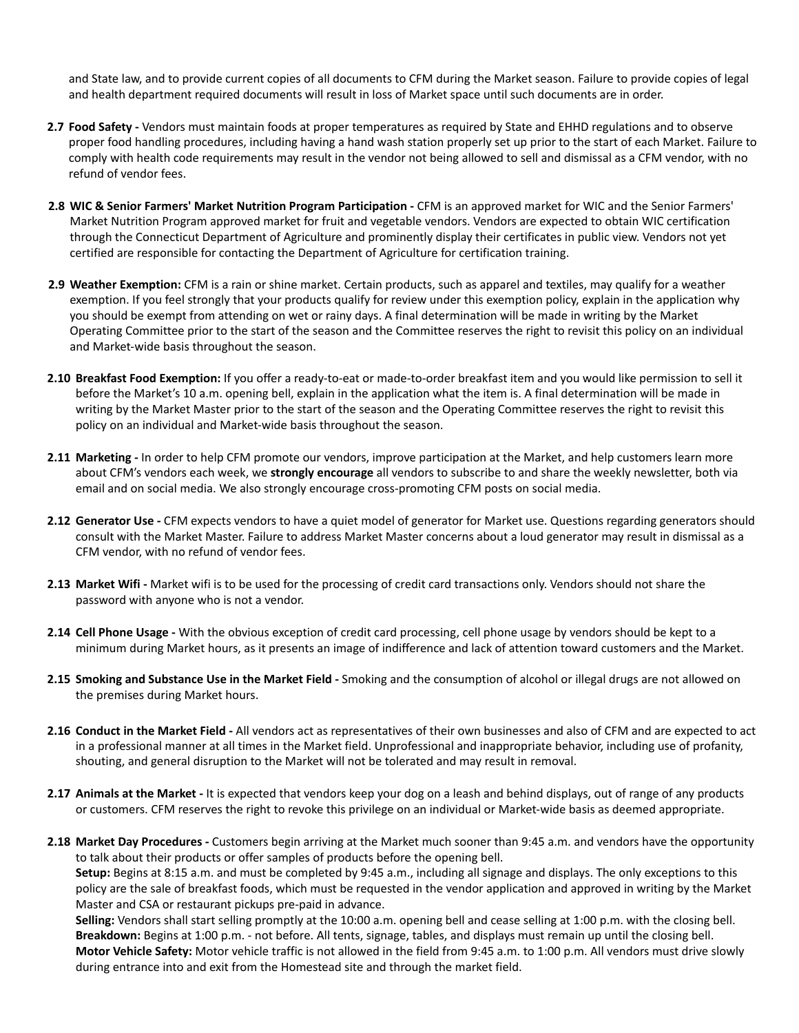and State law, and to provide current copies of all documents to CFM during the Market season. Failure to provide copies of legal and health department required documents will result in loss of Market space until such documents are in order.

- **2.7 Food Safety -** Vendors must maintain foods at proper temperatures as required by State and EHHD regulations and to observe proper food handling procedures, including having a hand wash station properly set up prior to the start of each Market. Failure to comply with health code requirements may result in the vendor not being allowed to sell and dismissal as a CFM vendor, with no refund of vendor fees.
- **2.8 WIC & Senior Farmers' Market Nutrition Program Participation -** CFM is an approved market for WIC and the Senior Farmers' Market Nutrition Program approved market for fruit and vegetable vendors. Vendors are expected to obtain WIC certification through the Connecticut Department of Agriculture and prominently display their certificates in public view. Vendors not yet certified are responsible for contacting the Department of Agriculture for certification training.
- **2.9 Weather Exemption:** CFM is a rain or shine market. Certain products, such as apparel and textiles, may qualify for a weather exemption. If you feel strongly that your products qualify for review under this exemption policy, explain in the application why you should be exempt from attending on wet or rainy days. A final determination will be made in writing by the Market Operating Committee prior to the start of the season and the Committee reserves the right to revisit this policy on an individual and Market-wide basis throughout the season.
- **2.10 Breakfast Food Exemption:** If you offer a ready-to-eat or made-to-order breakfast item and you would like permission to sell it before the Market's 10 a.m. opening bell, explain in the application what the item is. A final determination will be made in writing by the Market Master prior to the start of the season and the Operating Committee reserves the right to revisit this policy on an individual and Market-wide basis throughout the season.
- **2.11 Marketing -** In order to help CFM promote our vendors, improve participation at the Market, and help customers learn more about CFM's vendors each week, we **strongly encourage** all vendors to subscribe to and share the weekly newsletter, both via email and on social media. We also strongly encourage cross-promoting CFM posts on social media.
- **2.12 Generator Use -** CFM expects vendors to have a quiet model of generator for Market use. Questions regarding generators should consult with the Market Master. Failure to address Market Master concerns about a loud generator may result in dismissal as a CFM vendor, with no refund of vendor fees.
- **2.13 Market Wifi -** Market wifi is to be used for the processing of credit card transactions only. Vendors should not share the password with anyone who is not a vendor.
- **2.14 Cell Phone Usage -** With the obvious exception of credit card processing, cell phone usage by vendors should be kept to a minimum during Market hours, as it presents an image of indifference and lack of attention toward customers and the Market.
- **2.15 Smoking and Substance Use in the Market Field -** Smoking and the consumption of alcohol or illegal drugs are not allowed on the premises during Market hours.
- **2.16 Conduct in the Market Field -** All vendors act as representatives of their own businesses and also of CFM and are expected to act in a professional manner at all times in the Market field. Unprofessional and inappropriate behavior, including use of profanity, shouting, and general disruption to the Market will not be tolerated and may result in removal.
- **2.17 Animals at the Market -** It is expected that vendors keep your dog on a leash and behind displays, out of range of any products or customers. CFM reserves the right to revoke this privilege on an individual or Market-wide basis as deemed appropriate.
- **2.18 Market Day Procedures -** Customers begin arriving at the Market much sooner than 9:45 a.m. and vendors have the opportunity to talk about their products or offer samples of products before the opening bell. **Setup:** Begins at 8:15 a.m. and must be completed by 9:45 a.m., including all signage and displays. The only exceptions to this policy are the sale of breakfast foods, which must be requested in the vendor application and approved in writing by the Market Master and CSA or restaurant pickups pre-paid in advance.

**Selling:** Vendors shall start selling promptly at the 10:00 a.m. opening bell and cease selling at 1:00 p.m. with the closing bell. **Breakdown:** Begins at 1:00 p.m. - not before. All tents, signage, tables, and displays must remain up until the closing bell. **Motor Vehicle Safety:** Motor vehicle traffic is not allowed in the field from 9:45 a.m. to 1:00 p.m. All vendors must drive slowly during entrance into and exit from the Homestead site and through the market field.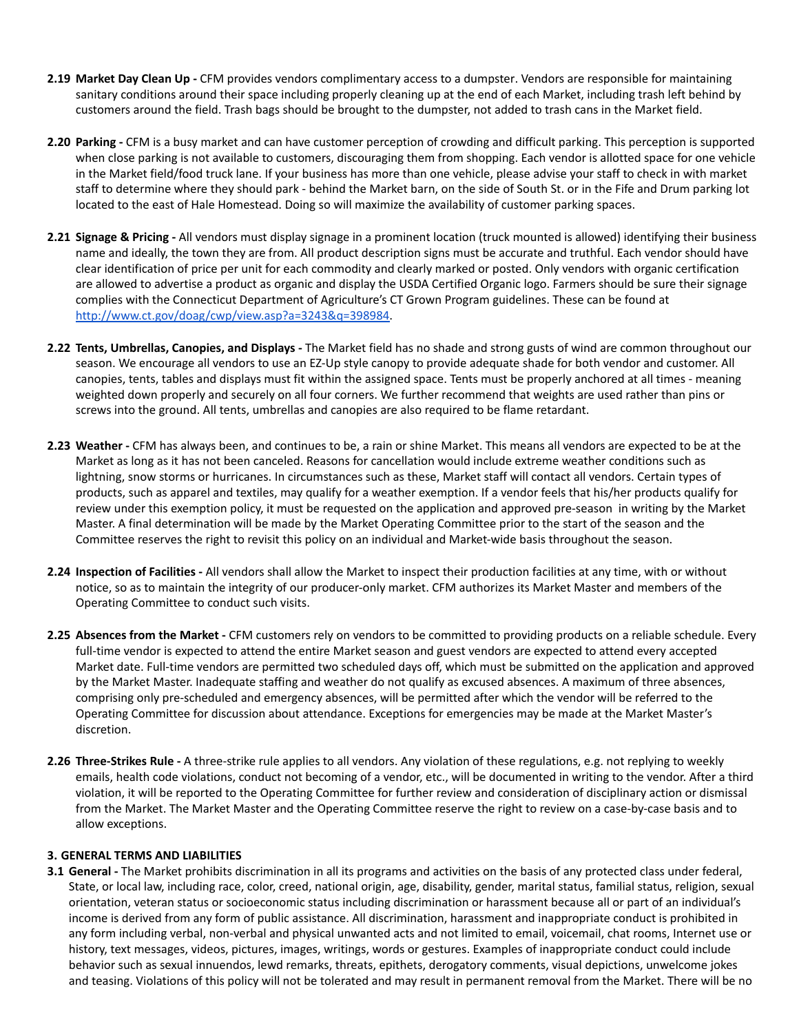- **2.19 Market Day Clean Up -** CFM provides vendors complimentary access to a dumpster. Vendors are responsible for maintaining sanitary conditions around their space including properly cleaning up at the end of each Market, including trash left behind by customers around the field. Trash bags should be brought to the dumpster, not added to trash cans in the Market field.
- **2.20 Parking -** CFM is a busy market and can have customer perception of crowding and difficult parking. This perception is supported when close parking is not available to customers, discouraging them from shopping. Each vendor is allotted space for one vehicle in the Market field/food truck lane. If your business has more than one vehicle, please advise your staff to check in with market staff to determine where they should park - behind the Market barn, on the side of South St. or in the Fife and Drum parking lot located to the east of Hale Homestead. Doing so will maximize the availability of customer parking spaces.
- **2.21 Signage & Pricing -** All vendors must display signage in a prominent location (truck mounted is allowed) identifying their business name and ideally, the town they are from. All product description signs must be accurate and truthful. Each vendor should have clear identification of price per unit for each commodity and clearly marked or posted. Only vendors with organic certification are allowed to advertise a product as organic and display the USDA Certified Organic logo. Farmers should be sure their signage complies with the Connecticut Department of Agriculture's CT Grown Program guidelines. These can be found at [http://www.ct.gov/doag/cwp/view.asp?a=3243&q=398984.](http://www.ct.gov/doag/cwp/view.asp?a=3243&q=398984)
- **2.22 Tents, Umbrellas, Canopies, and Displays -** The Market field has no shade and strong gusts of wind are common throughout our season. We encourage all vendors to use an EZ-Up style canopy to provide adequate shade for both vendor and customer. All canopies, tents, tables and displays must fit within the assigned space. Tents must be properly anchored at all times - meaning weighted down properly and securely on all four corners. We further recommend that weights are used rather than pins or screws into the ground. All tents, umbrellas and canopies are also required to be flame retardant.
- **2.23 Weather -** CFM has always been, and continues to be, a rain or shine Market. This means all vendors are expected to be at the Market as long as it has not been canceled. Reasons for cancellation would include extreme weather conditions such as lightning, snow storms or hurricanes. In circumstances such as these, Market staff will contact all vendors. Certain types of products, such as apparel and textiles, may qualify for a weather exemption. If a vendor feels that his/her products qualify for review under this exemption policy, it must be requested on the application and approved pre-season in writing by the Market Master. A final determination will be made by the Market Operating Committee prior to the start of the season and the Committee reserves the right to revisit this policy on an individual and Market-wide basis throughout the season.
- **2.24 Inspection of Facilities -** All vendors shall allow the Market to inspect their production facilities at any time, with or without notice, so as to maintain the integrity of our producer-only market. CFM authorizes its Market Master and members of the Operating Committee to conduct such visits.
- **2.25 Absences from the Market -** CFM customers rely on vendors to be committed to providing products on a reliable schedule. Every full-time vendor is expected to attend the entire Market season and guest vendors are expected to attend every accepted Market date. Full-time vendors are permitted two scheduled days off, which must be submitted on the application and approved by the Market Master. Inadequate staffing and weather do not qualify as excused absences. A maximum of three absences, comprising only pre-scheduled and emergency absences, will be permitted after which the vendor will be referred to the Operating Committee for discussion about attendance. Exceptions for emergencies may be made at the Market Master's discretion.
- **2.26 Three-Strikes Rule -** A three-strike rule applies to all vendors. Any violation of these regulations, e.g. not replying to weekly emails, health code violations, conduct not becoming of a vendor, etc., will be documented in writing to the vendor. After a third violation, it will be reported to the Operating Committee for further review and consideration of disciplinary action or dismissal from the Market. The Market Master and the Operating Committee reserve the right to review on a case-by-case basis and to allow exceptions.

### **3. GENERAL TERMS AND LIABILITIES**

**3.1 General -** The Market prohibits discrimination in all its programs and activities on the basis of any protected class under federal, State, or local law, including race, color, creed, national origin, age, disability, gender, marital status, familial status, religion, sexual orientation, veteran status or socioeconomic status including discrimination or harassment because all or part of an individual's income is derived from any form of public assistance. All discrimination, harassment and inappropriate conduct is prohibited in any form including verbal, non-verbal and physical unwanted acts and not limited to email, voicemail, chat rooms, Internet use or history, text messages, videos, pictures, images, writings, words or gestures. Examples of inappropriate conduct could include behavior such as sexual innuendos, lewd remarks, threats, epithets, derogatory comments, visual depictions, unwelcome jokes and teasing. Violations of this policy will not be tolerated and may result in permanent removal from the Market. There will be no